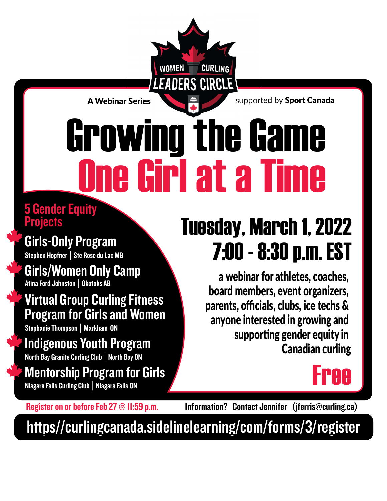A Webinar Series  $\blacksquare$  Supported by Sport Canada

# **Cirl at a Ti** Growing the Game

EADERS CIRCLE

**CURLING** 

**WOMEN** 

#### 5 Gender Equity **Projects**

Stephen Hopfner | Ste Rose du Lac MB

Girls/Women Only Camp Atina Ford Johnston│Okotoks AB

Virtual Group Curling Fitness Program for Girls and Women

Stephanie Thompson│Markham ON

Indigenous Youth Program North Bay Granite Curling Club │ North Bay ON

Mentorship Program for Girls Niagara Falls Curling Club│Niagara Falls ON

### Tuesday, March 1, 2022 Girls-Only Program<br>Stephen Hopfner | Ste Rose du Lac MB<br>
Stephen Hopfner | Ste Rose du Lac MB

a webinar for athletes, coaches, board members, event organizers, parents, officials, clubs, ice techs & anyone interested in growing and supporting gender equity in Canadian curling

### Free

Register on or before Feb 27 @ 11:59 p.m.

Information? Contact Jennifer (jferris@curling.ca)

[https//curlingcanada.sidelinelearning/com/forms/3/register](https://curlingcanada.sidelinelearning.com/forms/3/register)